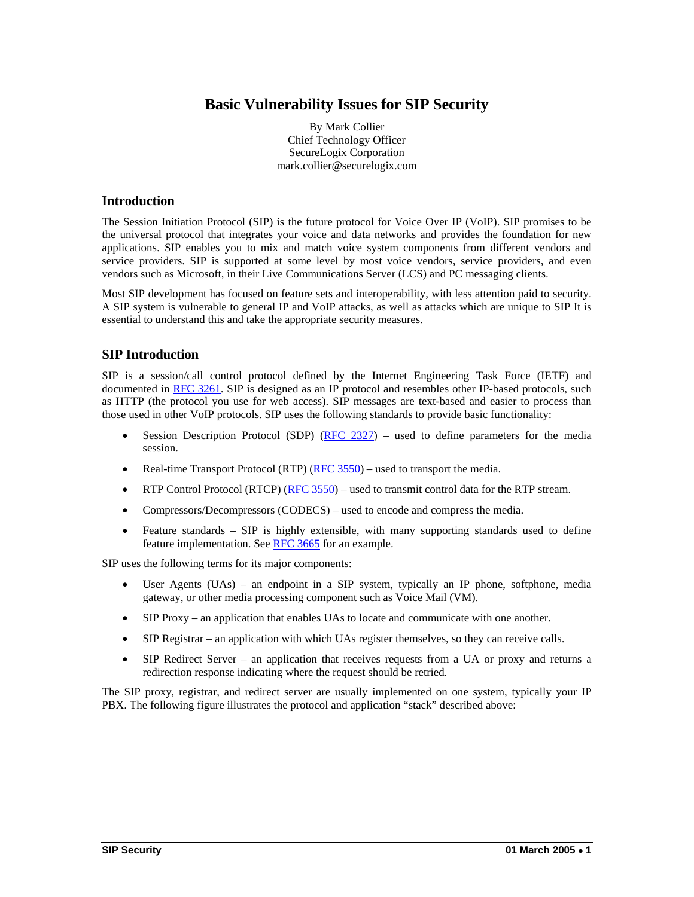# **Basic Vulnerability Issues for SIP Security**

By Mark Collier Chief Technology Officer SecureLogix Corporation mark.collier@securelogix.com

#### **Introduction**

The Session Initiation Protocol (SIP) is the future protocol for Voice Over IP (VoIP). SIP promises to be the universal protocol that integrates your voice and data networks and provides the foundation for new applications. SIP enables you to mix and match voice system components from different vendors and service providers. SIP is supported at some level by most voice vendors, service providers, and even vendors such as Microsoft, in their Live Communications Server (LCS) and PC messaging clients.

Most SIP development has focused on feature sets and interoperability, with less attention paid to security. A SIP system is vulnerable to general IP and VoIP attacks, as well as attacks which are unique to SIP It is essential to understand this and take the appropriate security measures.

#### **SIP Introduction**

SIP is a session/call control protocol defined by the Internet Engineering Task Force (IETF) and documented in RFC 3261. SIP is designed as an IP protocol and resembles other IP-based protocols, such as HTTP (the protocol you use for web access). SIP messages are text-based and easier to process than those used in other VoIP protocols. SIP uses the following standards to provide basic functionality:

- Session Description Protocol (SDP)  $(RFC 2327)$  used to define parameters for the media session.
- Real-time Transport Protocol (RTP) (RFC  $3550$ ) used to transport the media.
- RTP Control Protocol (RTCP) (RFC 3550) used to transmit control data for the RTP stream.
- Compressors/Decompressors (CODECS) used to encode and compress the media.
- Feature standards SIP is highly extensible, with many supporting standards used to define feature implementation. See RFC 3665 for an example.

SIP uses the following terms for its major components:

- User Agents (UAs) an endpoint in a SIP system, typically an IP phone, softphone, media gateway, or other media processing component such as Voice Mail (VM).
- SIP Proxy an application that enables UAs to locate and communicate with one another.
- SIP Registrar an application with which UAs register themselves, so they can receive calls.
- SIP Redirect Server an application that receives requests from a UA or proxy and returns a redirection response indicating where the request should be retried.

The SIP proxy, registrar, and redirect server are usually implemented on one system, typically your IP PBX. The following figure illustrates the protocol and application "stack" described above: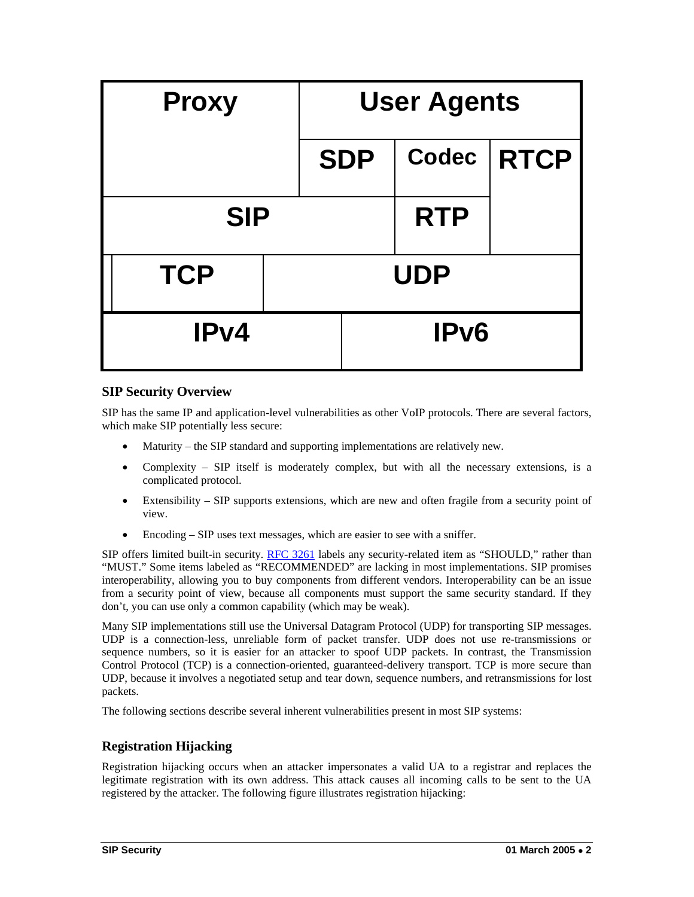| <b>Proxy</b> |  | <b>User Agents</b> |            |             |
|--------------|--|--------------------|------------|-------------|
|              |  | <b>SDP</b>         | Codec      | <b>RTCP</b> |
| <b>SIP</b>   |  |                    | <b>RTP</b> |             |
| <b>TCP</b>   |  | <b>UDP</b>         |            |             |
| IPv4         |  | IP <sub>v6</sub>   |            |             |

## **SIP Security Overview**

SIP has the same IP and application-level vulnerabilities as other VoIP protocols. There are several factors, which make SIP potentially less secure:

- Maturity the SIP standard and supporting implementations are relatively new.
- Complexity SIP itself is moderately complex, but with all the necessary extensions, is a complicated protocol.
- Extensibility SIP supports extensions, which are new and often fragile from a security point of view.
- Encoding SIP uses text messages, which are easier to see with a sniffer.

SIP offers limited built-in security. RFC 3261 labels any security-related item as "SHOULD," rather than "MUST." Some items labeled as "RECOMMENDED" are lacking in most implementations. SIP promises interoperability, allowing you to buy components from different vendors. Interoperability can be an issue from a security point of view, because all components must support the same security standard. If they don't, you can use only a common capability (which may be weak).

Many SIP implementations still use the Universal Datagram Protocol (UDP) for transporting SIP messages. UDP is a connection-less, unreliable form of packet transfer. UDP does not use re-transmissions or sequence numbers, so it is easier for an attacker to spoof UDP packets. In contrast, the Transmission Control Protocol (TCP) is a connection-oriented, guaranteed-delivery transport. TCP is more secure than UDP, because it involves a negotiated setup and tear down, sequence numbers, and retransmissions for lost packets.

The following sections describe several inherent vulnerabilities present in most SIP systems:

## **Registration Hijacking**

Registration hijacking occurs when an attacker impersonates a valid UA to a registrar and replaces the legitimate registration with its own address. This attack causes all incoming calls to be sent to the UA registered by the attacker. The following figure illustrates registration hijacking: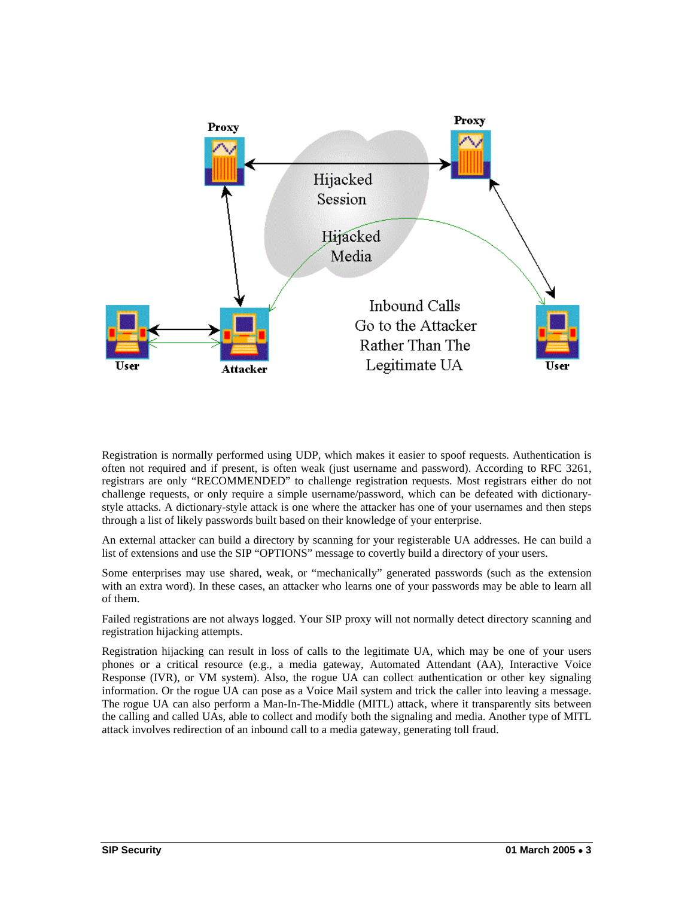

Registration is normally performed using UDP, which makes it easier to spoof requests. Authentication is often not required and if present, is often weak (just username and password). According to RFC 3261, registrars are only "RECOMMENDED" to challenge registration requests. Most registrars either do not challenge requests, or only require a simple username/password, which can be defeated with dictionarystyle attacks. A dictionary-style attack is one where the attacker has one of your usernames and then steps through a list of likely passwords built based on their knowledge of your enterprise.

An external attacker can build a directory by scanning for your registerable UA addresses. He can build a list of extensions and use the SIP "OPTIONS" message to covertly build a directory of your users.

Some enterprises may use shared, weak, or "mechanically" generated passwords (such as the extension with an extra word). In these cases, an attacker who learns one of your passwords may be able to learn all of them.

Failed registrations are not always logged. Your SIP proxy will not normally detect directory scanning and registration hijacking attempts.

Registration hijacking can result in loss of calls to the legitimate UA, which may be one of your users phones or a critical resource (e.g., a media gateway, Automated Attendant (AA), Interactive Voice Response (IVR), or VM system). Also, the rogue UA can collect authentication or other key signaling information. Or the rogue UA can pose as a Voice Mail system and trick the caller into leaving a message. The rogue UA can also perform a Man-In-The-Middle (MITL) attack, where it transparently sits between the calling and called UAs, able to collect and modify both the signaling and media. Another type of MITL attack involves redirection of an inbound call to a media gateway, generating toll fraud.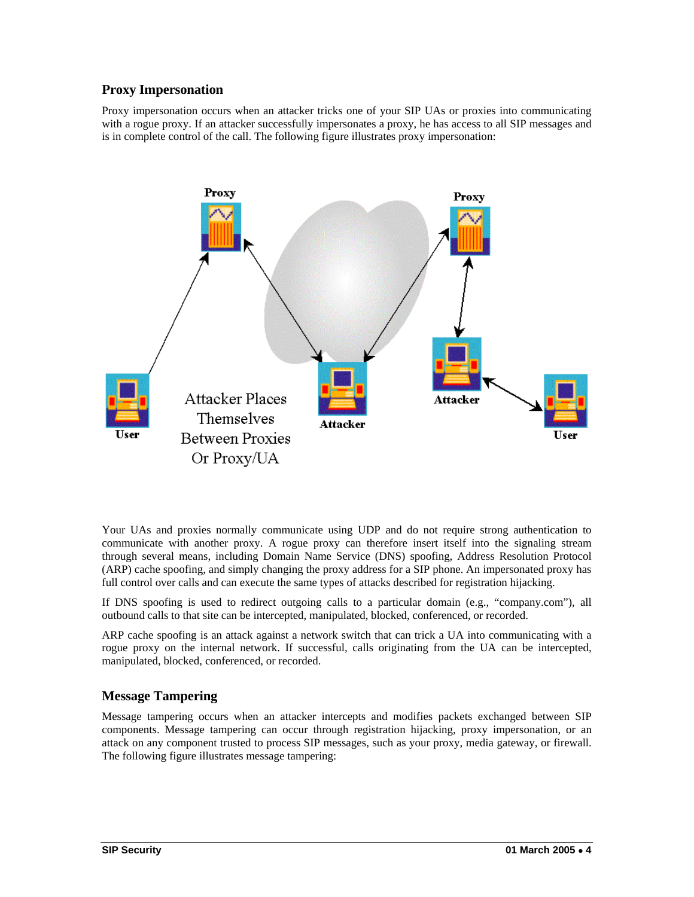## **Proxy Impersonation**

Proxy impersonation occurs when an attacker tricks one of your SIP UAs or proxies into communicating with a rogue proxy. If an attacker successfully impersonates a proxy, he has access to all SIP messages and is in complete control of the call. The following figure illustrates proxy impersonation:



Your UAs and proxies normally communicate using UDP and do not require strong authentication to communicate with another proxy. A rogue proxy can therefore insert itself into the signaling stream through several means, including Domain Name Service (DNS) spoofing, Address Resolution Protocol (ARP) cache spoofing, and simply changing the proxy address for a SIP phone. An impersonated proxy has full control over calls and can execute the same types of attacks described for registration hijacking.

If DNS spoofing is used to redirect outgoing calls to a particular domain (e.g., "company.com"), all outbound calls to that site can be intercepted, manipulated, blocked, conferenced, or recorded.

ARP cache spoofing is an attack against a network switch that can trick a UA into communicating with a rogue proxy on the internal network. If successful, calls originating from the UA can be intercepted, manipulated, blocked, conferenced, or recorded.

## **Message Tampering**

Message tampering occurs when an attacker intercepts and modifies packets exchanged between SIP components. Message tampering can occur through registration hijacking, proxy impersonation, or an attack on any component trusted to process SIP messages, such as your proxy, media gateway, or firewall. The following figure illustrates message tampering: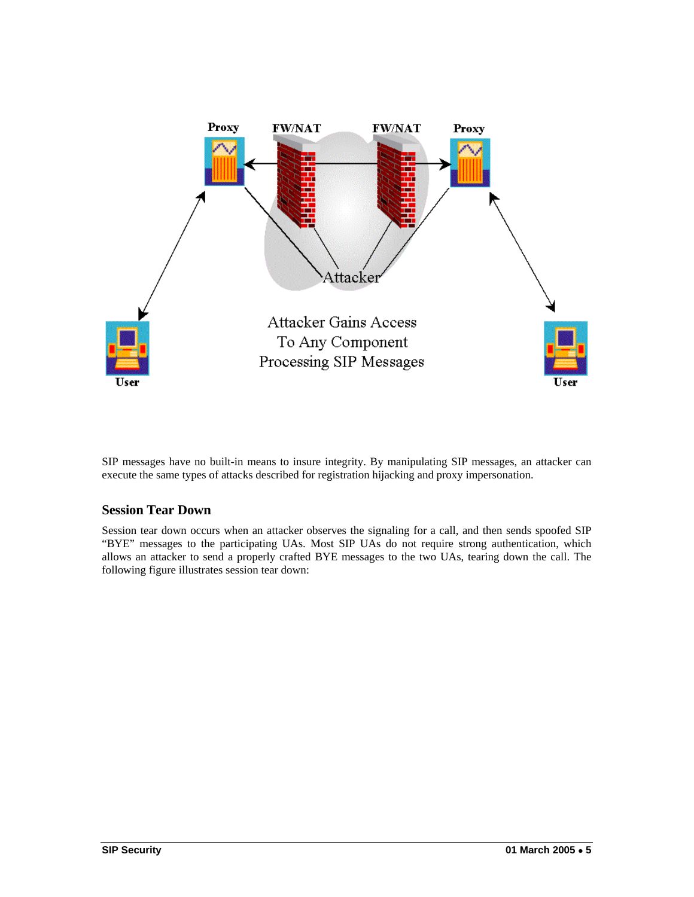

SIP messages have no built-in means to insure integrity. By manipulating SIP messages, an attacker can execute the same types of attacks described for registration hijacking and proxy impersonation.

## **Session Tear Down**

Session tear down occurs when an attacker observes the signaling for a call, and then sends spoofed SIP "BYE" messages to the participating UAs. Most SIP UAs do not require strong authentication, which allows an attacker to send a properly crafted BYE messages to the two UAs, tearing down the call. The following figure illustrates session tear down: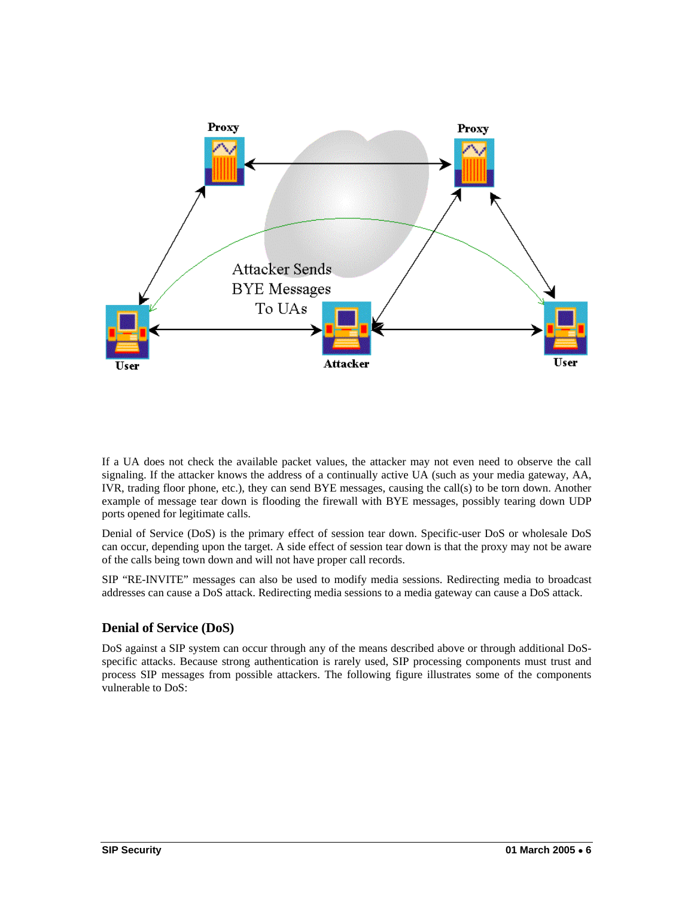

If a UA does not check the available packet values, the attacker may not even need to observe the call signaling. If the attacker knows the address of a continually active UA (such as your media gateway, AA, IVR, trading floor phone, etc.), they can send BYE messages, causing the call(s) to be torn down. Another example of message tear down is flooding the firewall with BYE messages, possibly tearing down UDP ports opened for legitimate calls.

Denial of Service (DoS) is the primary effect of session tear down. Specific-user DoS or wholesale DoS can occur, depending upon the target. A side effect of session tear down is that the proxy may not be aware of the calls being town down and will not have proper call records.

SIP "RE-INVITE" messages can also be used to modify media sessions. Redirecting media to broadcast addresses can cause a DoS attack. Redirecting media sessions to a media gateway can cause a DoS attack.

## **Denial of Service (DoS)**

DoS against a SIP system can occur through any of the means described above or through additional DoSspecific attacks. Because strong authentication is rarely used, SIP processing components must trust and process SIP messages from possible attackers. The following figure illustrates some of the components vulnerable to DoS: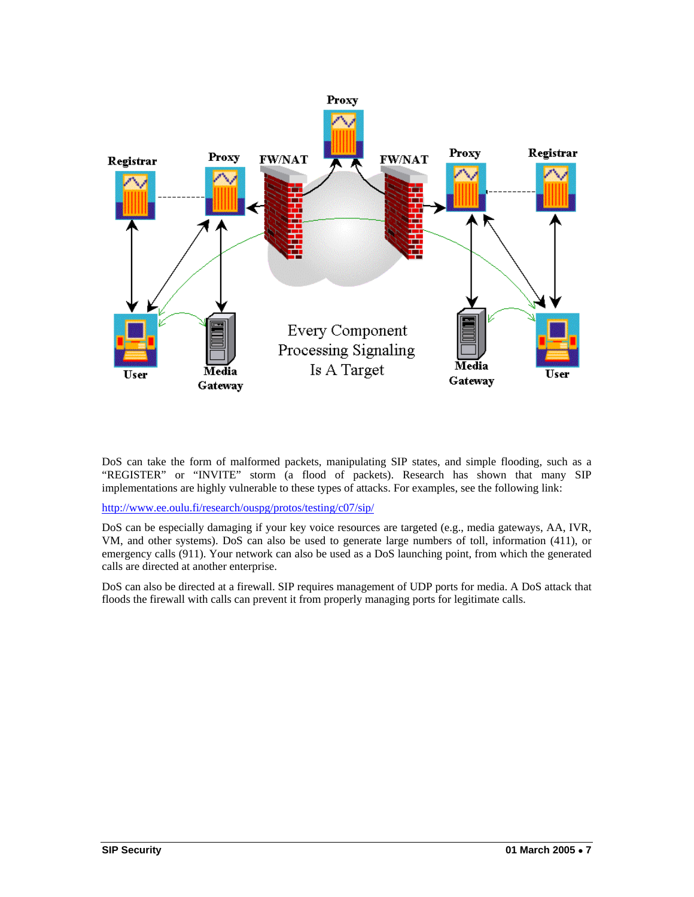

DoS can take the form of malformed packets, manipulating SIP states, and simple flooding, such as a "REGISTER" or "INVITE" storm (a flood of packets). Research has shown that many SIP implementations are highly vulnerable to these types of attacks. For examples, see the following link:

http://www.ee.oulu.fi/research/ouspg/protos/testing/c07/sip/

DoS can be especially damaging if your key voice resources are targeted (e.g., media gateways, AA, IVR, VM, and other systems). DoS can also be used to generate large numbers of toll, information (411), or emergency calls (911). Your network can also be used as a DoS launching point, from which the generated calls are directed at another enterprise.

DoS can also be directed at a firewall. SIP requires management of UDP ports for media. A DoS attack that floods the firewall with calls can prevent it from properly managing ports for legitimate calls.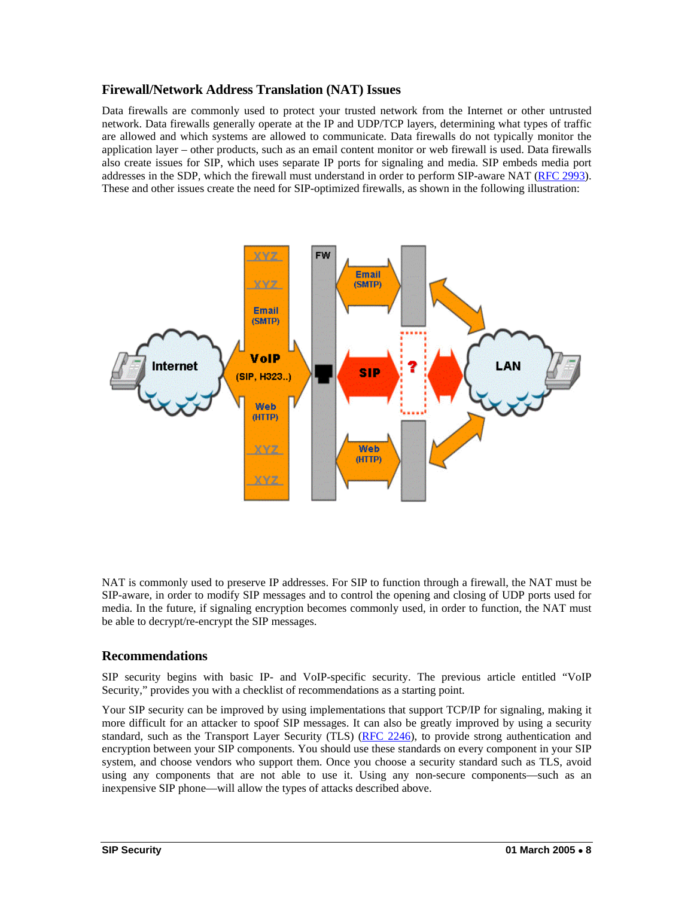#### **Firewall/Network Address Translation (NAT) Issues**

Data firewalls are commonly used to protect your trusted network from the Internet or other untrusted network. Data firewalls generally operate at the IP and UDP/TCP layers, determining what types of traffic are allowed and which systems are allowed to communicate. Data firewalls do not typically monitor the application layer – other products, such as an email content monitor or web firewall is used. Data firewalls also create issues for SIP, which uses separate IP ports for signaling and media. SIP embeds media port addresses in the SDP, which the firewall must understand in order to perform SIP-aware NAT (RFC 2993). These and other issues create the need for SIP-optimized firewalls, as shown in the following illustration:



NAT is commonly used to preserve IP addresses. For SIP to function through a firewall, the NAT must be SIP-aware, in order to modify SIP messages and to control the opening and closing of UDP ports used for media. In the future, if signaling encryption becomes commonly used, in order to function, the NAT must be able to decrypt/re-encrypt the SIP messages.

#### **Recommendations**

SIP security begins with basic IP- and VoIP-specific security. The previous article entitled "VoIP Security," provides you with a checklist of recommendations as a starting point.

Your SIP security can be improved by using implementations that support TCP/IP for signaling, making it more difficult for an attacker to spoof SIP messages. It can also be greatly improved by using a security standard, such as the Transport Layer Security (TLS) (RFC 2246), to provide strong authentication and encryption between your SIP components. You should use these standards on every component in your SIP system, and choose vendors who support them. Once you choose a security standard such as TLS, avoid using any components that are not able to use it. Using any non-secure components—such as an inexpensive SIP phone—will allow the types of attacks described above.